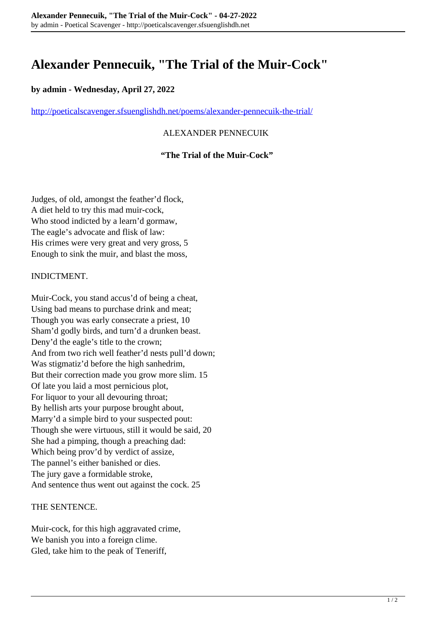# **Alexander Pennecuik, "The Trial of the Muir-Cock"**

## **by admin - Wednesday, April 27, 2022**

<http://poeticalscavenger.sfsuenglishdh.net/poems/alexander-pennecuik-the-trial/>

## ALEXANDER PENNECUIK

### **"The Trial of the Muir-Cock"**

Judges, of old, amongst the feather'd flock, A diet held to try this mad muir-cock, Who stood indicted by a learn'd gormaw, The eagle's advocate and flisk of law: His crimes were very great and very gross, 5 Enough to sink the muir, and blast the moss,

#### INDICTMENT.

Muir-Cock, you stand accus'd of being a cheat, Using bad means to purchase drink and meat; Though you was early consecrate a priest, 10 Sham'd godly birds, and turn'd a drunken beast. Deny'd the eagle's title to the crown; And from two rich well feather'd nests pull'd down; Was stigmatiz'd before the high sanhedrim, But their correction made you grow more slim. 15 Of late you laid a most pernicious plot, For liquor to your all devouring throat; By hellish arts your purpose brought about, Marry'd a simple bird to your suspected pout: Though she were virtuous, still it would be said, 20 She had a pimping, though a preaching dad: Which being prov'd by verdict of assize, The pannel's either banished or dies. The jury gave a formidable stroke, And sentence thus went out against the cock. 25

#### THE SENTENCE.

Muir-cock, for this high aggravated crime, We banish you into a foreign clime. Gled, take him to the peak of Teneriff,